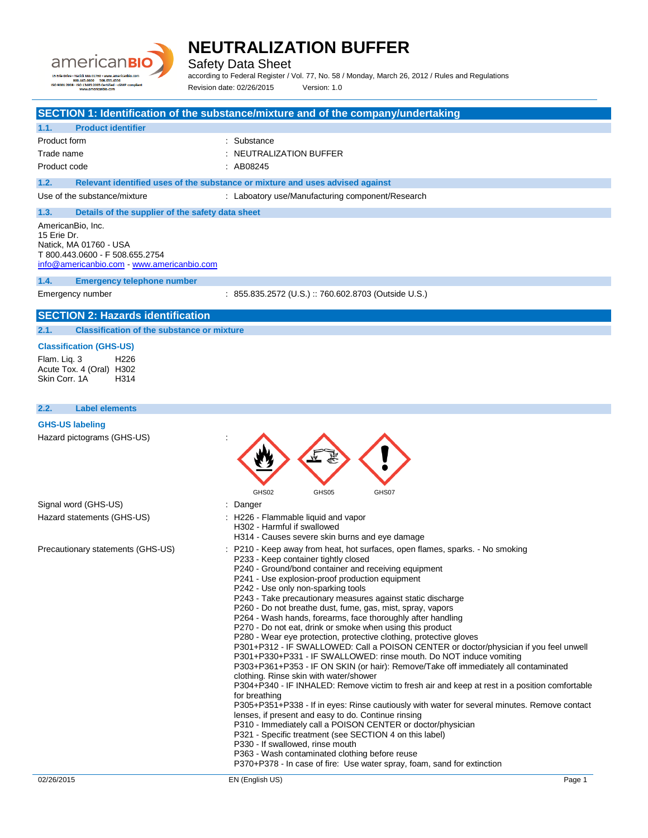

Safety Data Sheet

according to Federal Register / Vol. 77, No. 58 / Monday, March 26, 2012 / Rules and Regulations Revision date: 02/26/2015 Version: 1.0

|                                                                                                                                           | SECTION 1: Identification of the substance/mixture and of the company/undertaking                                                                                                                                                                                                                                                                                                                                                                                                                                                                                                                                                                                                                                                                                                                                                                                                                                                                                                                                                                                                                                                                                                                                                                                                                                                                                                                                                                                       |
|-------------------------------------------------------------------------------------------------------------------------------------------|-------------------------------------------------------------------------------------------------------------------------------------------------------------------------------------------------------------------------------------------------------------------------------------------------------------------------------------------------------------------------------------------------------------------------------------------------------------------------------------------------------------------------------------------------------------------------------------------------------------------------------------------------------------------------------------------------------------------------------------------------------------------------------------------------------------------------------------------------------------------------------------------------------------------------------------------------------------------------------------------------------------------------------------------------------------------------------------------------------------------------------------------------------------------------------------------------------------------------------------------------------------------------------------------------------------------------------------------------------------------------------------------------------------------------------------------------------------------------|
| 1.1.<br><b>Product identifier</b>                                                                                                         |                                                                                                                                                                                                                                                                                                                                                                                                                                                                                                                                                                                                                                                                                                                                                                                                                                                                                                                                                                                                                                                                                                                                                                                                                                                                                                                                                                                                                                                                         |
| Product form                                                                                                                              | : Substance                                                                                                                                                                                                                                                                                                                                                                                                                                                                                                                                                                                                                                                                                                                                                                                                                                                                                                                                                                                                                                                                                                                                                                                                                                                                                                                                                                                                                                                             |
| Trade name                                                                                                                                | : NEUTRALIZATION BUFFER                                                                                                                                                                                                                                                                                                                                                                                                                                                                                                                                                                                                                                                                                                                                                                                                                                                                                                                                                                                                                                                                                                                                                                                                                                                                                                                                                                                                                                                 |
| Product code                                                                                                                              | : AB08245                                                                                                                                                                                                                                                                                                                                                                                                                                                                                                                                                                                                                                                                                                                                                                                                                                                                                                                                                                                                                                                                                                                                                                                                                                                                                                                                                                                                                                                               |
| 1.2.                                                                                                                                      | Relevant identified uses of the substance or mixture and uses advised against                                                                                                                                                                                                                                                                                                                                                                                                                                                                                                                                                                                                                                                                                                                                                                                                                                                                                                                                                                                                                                                                                                                                                                                                                                                                                                                                                                                           |
| Use of the substance/mixture                                                                                                              | : Laboatory use/Manufacturing component/Research                                                                                                                                                                                                                                                                                                                                                                                                                                                                                                                                                                                                                                                                                                                                                                                                                                                                                                                                                                                                                                                                                                                                                                                                                                                                                                                                                                                                                        |
| 1.3.                                                                                                                                      | Details of the supplier of the safety data sheet                                                                                                                                                                                                                                                                                                                                                                                                                                                                                                                                                                                                                                                                                                                                                                                                                                                                                                                                                                                                                                                                                                                                                                                                                                                                                                                                                                                                                        |
| AmericanBio, Inc.<br>15 Erie Dr.<br>Natick, MA 01760 - USA<br>T 800.443.0600 - F 508.655.2754<br>info@americanbio.com www.americanbio.com |                                                                                                                                                                                                                                                                                                                                                                                                                                                                                                                                                                                                                                                                                                                                                                                                                                                                                                                                                                                                                                                                                                                                                                                                                                                                                                                                                                                                                                                                         |
| 1.4.                                                                                                                                      | <b>Emergency telephone number</b>                                                                                                                                                                                                                                                                                                                                                                                                                                                                                                                                                                                                                                                                                                                                                                                                                                                                                                                                                                                                                                                                                                                                                                                                                                                                                                                                                                                                                                       |
| Emergency number                                                                                                                          | : 855.835.2572 (U.S.) :: 760.602.8703 (Outside U.S.)                                                                                                                                                                                                                                                                                                                                                                                                                                                                                                                                                                                                                                                                                                                                                                                                                                                                                                                                                                                                                                                                                                                                                                                                                                                                                                                                                                                                                    |
| <b>SECTION 2: Hazards identification</b>                                                                                                  |                                                                                                                                                                                                                                                                                                                                                                                                                                                                                                                                                                                                                                                                                                                                                                                                                                                                                                                                                                                                                                                                                                                                                                                                                                                                                                                                                                                                                                                                         |
| 2.1.                                                                                                                                      | <b>Classification of the substance or mixture</b>                                                                                                                                                                                                                                                                                                                                                                                                                                                                                                                                                                                                                                                                                                                                                                                                                                                                                                                                                                                                                                                                                                                                                                                                                                                                                                                                                                                                                       |
| <b>Classification (GHS-US)</b><br>H <sub>226</sub><br>Flam. Lig. 3<br>Acute Tox. 4 (Oral) H302<br>Skin Corr, 1A<br>H314                   |                                                                                                                                                                                                                                                                                                                                                                                                                                                                                                                                                                                                                                                                                                                                                                                                                                                                                                                                                                                                                                                                                                                                                                                                                                                                                                                                                                                                                                                                         |
| 2.2.<br><b>Label elements</b>                                                                                                             |                                                                                                                                                                                                                                                                                                                                                                                                                                                                                                                                                                                                                                                                                                                                                                                                                                                                                                                                                                                                                                                                                                                                                                                                                                                                                                                                                                                                                                                                         |
| <b>GHS-US labeling</b>                                                                                                                    |                                                                                                                                                                                                                                                                                                                                                                                                                                                                                                                                                                                                                                                                                                                                                                                                                                                                                                                                                                                                                                                                                                                                                                                                                                                                                                                                                                                                                                                                         |
| Hazard pictograms (GHS-US)                                                                                                                | GHS02<br>GHS05<br>GHS07                                                                                                                                                                                                                                                                                                                                                                                                                                                                                                                                                                                                                                                                                                                                                                                                                                                                                                                                                                                                                                                                                                                                                                                                                                                                                                                                                                                                                                                 |
| Signal word (GHS-US)                                                                                                                      | : Danger                                                                                                                                                                                                                                                                                                                                                                                                                                                                                                                                                                                                                                                                                                                                                                                                                                                                                                                                                                                                                                                                                                                                                                                                                                                                                                                                                                                                                                                                |
| Hazard statements (GHS-US)                                                                                                                | : H226 - Flammable liquid and vapor<br>H302 - Harmful if swallowed<br>H314 - Causes severe skin burns and eye damage                                                                                                                                                                                                                                                                                                                                                                                                                                                                                                                                                                                                                                                                                                                                                                                                                                                                                                                                                                                                                                                                                                                                                                                                                                                                                                                                                    |
| Precautionary statements (GHS-US)                                                                                                         | P210 - Keep away from heat, hot surfaces, open flames, sparks. - No smoking<br>P233 - Keep container tightly closed<br>P240 - Ground/bond container and receiving equipment<br>P241 - Use explosion-proof production equipment<br>P242 - Use only non-sparking tools<br>P243 - Take precautionary measures against static discharge<br>P260 - Do not breathe dust, fume, gas, mist, spray, vapors<br>P264 - Wash hands, forearms, face thoroughly after handling<br>P270 - Do not eat, drink or smoke when using this product<br>P280 - Wear eye protection, protective clothing, protective gloves<br>P301+P312 - IF SWALLOWED: Call a POISON CENTER or doctor/physician if you feel unwell<br>P301+P330+P331 - IF SWALLOWED: rinse mouth. Do NOT induce vomiting<br>P303+P361+P353 - IF ON SKIN (or hair): Remove/Take off immediately all contaminated<br>clothing. Rinse skin with water/shower<br>P304+P340 - IF INHALED: Remove victim to fresh air and keep at rest in a position comfortable<br>for breathing<br>P305+P351+P338 - If in eyes: Rinse cautiously with water for several minutes. Remove contact<br>lenses, if present and easy to do. Continue rinsing<br>P310 - Immediately call a POISON CENTER or doctor/physician<br>P321 - Specific treatment (see SECTION 4 on this label)<br>P330 - If swallowed, rinse mouth<br>P363 - Wash contaminated clothing before reuse<br>P370+P378 - In case of fire: Use water spray, foam, sand for extinction |
| 02/26/2015                                                                                                                                | EN (English US)<br>Page 1                                                                                                                                                                                                                                                                                                                                                                                                                                                                                                                                                                                                                                                                                                                                                                                                                                                                                                                                                                                                                                                                                                                                                                                                                                                                                                                                                                                                                                               |
|                                                                                                                                           |                                                                                                                                                                                                                                                                                                                                                                                                                                                                                                                                                                                                                                                                                                                                                                                                                                                                                                                                                                                                                                                                                                                                                                                                                                                                                                                                                                                                                                                                         |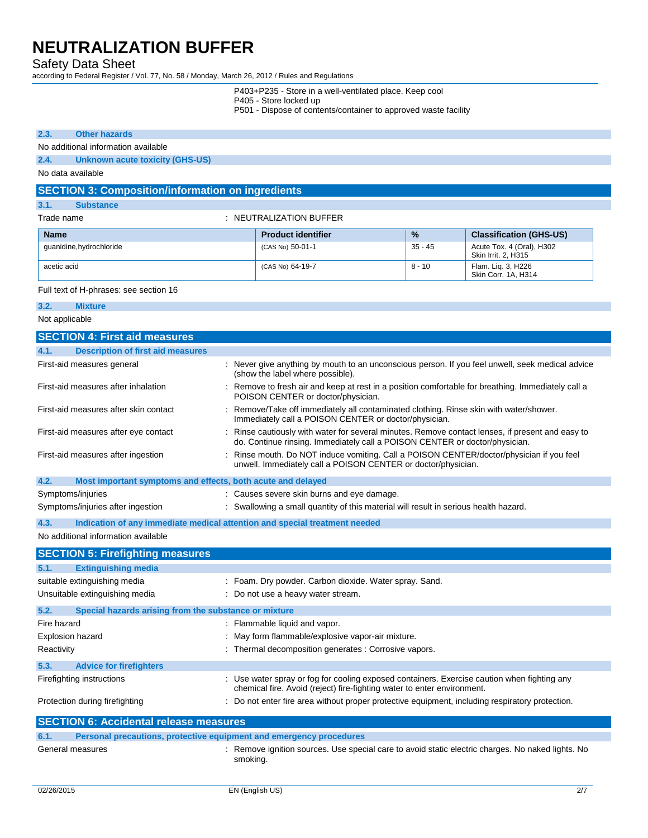### Safety Data Sheet

according to Federal Register / Vol. 77, No. 58 / Monday, March 26, 2012 / Rules and Regulations

- P403+P235 Store in a well-ventilated place. Keep cool
- P405 Store locked up
- P501 Dispose of contents/container to approved waste facility

#### **2.3. Other hazards**

#### No additional information available

**2.4. Unknown acute toxicity (GHS-US)**

No data available

### **SECTION 3: Composition/information on ingredients**

| 3.1.        | <b>Substance</b>                                 |                           |               |                                                  |
|-------------|--------------------------------------------------|---------------------------|---------------|--------------------------------------------------|
|             | $\therefore$ NEUTRALIZATION BUFFER<br>Trade name |                           |               |                                                  |
| <b>Name</b> |                                                  | <b>Product identifier</b> | $\frac{9}{6}$ | <b>Classification (GHS-US)</b>                   |
|             | guanidine, hydrochloride                         | (CAS No) 50-01-1          | $35 - 45$     | Acute Tox. 4 (Oral), H302<br>Skin Irrit. 2. H315 |
| acetic acid |                                                  | (CAS No) 64-19-7          | 8 - 10        | Flam. Lig. 3, H226<br>Skin Corr. 1A, H314        |

Full text of H-phrases: see section 16

**3.2. Mixture**

Not applicable

|             | <b>SECTION 4: First aid measures</b>                        |                                                                                                                                                                               |
|-------------|-------------------------------------------------------------|-------------------------------------------------------------------------------------------------------------------------------------------------------------------------------|
| 4.1.        | <b>Description of first aid measures</b>                    |                                                                                                                                                                               |
|             | First-aid measures general                                  | : Never give anything by mouth to an unconscious person. If you feel unwell, seek medical advice<br>(show the label where possible).                                          |
|             | First-aid measures after inhalation                         | Remove to fresh air and keep at rest in a position comfortable for breathing. Immediately call a<br>POISON CENTER or doctor/physician.                                        |
|             | First-aid measures after skin contact                       | Remove/Take off immediately all contaminated clothing. Rinse skin with water/shower.<br>Immediately call a POISON CENTER or doctor/physician.                                 |
|             | First-aid measures after eye contact                        | Rinse cautiously with water for several minutes. Remove contact lenses, if present and easy to<br>do. Continue rinsing. Immediately call a POISON CENTER or doctor/physician. |
|             | First-aid measures after ingestion                          | Rinse mouth. Do NOT induce vomiting. Call a POISON CENTER/doctor/physician if you feel<br>unwell. Immediately call a POISON CENTER or doctor/physician.                       |
| 4.2.        | Most important symptoms and effects, both acute and delayed |                                                                                                                                                                               |
|             | Symptoms/injuries                                           | : Causes severe skin burns and eye damage.                                                                                                                                    |
|             | Symptoms/injuries after ingestion                           | : Swallowing a small quantity of this material will result in serious health hazard.                                                                                          |
| 4.3.        |                                                             | Indication of any immediate medical attention and special treatment needed                                                                                                    |
|             | No additional information available                         |                                                                                                                                                                               |
|             | <b>SECTION 5: Firefighting measures</b>                     |                                                                                                                                                                               |
|             |                                                             |                                                                                                                                                                               |
| 5.1.        | <b>Extinguishing media</b>                                  |                                                                                                                                                                               |
|             | suitable extinguishing media                                | : Foam. Dry powder. Carbon dioxide. Water spray. Sand.                                                                                                                        |
|             | Unsuitable extinguishing media                              | : Do not use a heavy water stream.                                                                                                                                            |
| 5.2.        | Special hazards arising from the substance or mixture       |                                                                                                                                                                               |
| Fire hazard |                                                             | : Flammable liquid and vapor.                                                                                                                                                 |
|             | <b>Explosion hazard</b>                                     | May form flammable/explosive vapor-air mixture.                                                                                                                               |
| Reactivity  |                                                             | : Thermal decomposition generates : Corrosive vapors.                                                                                                                         |
| 5.3.        | <b>Advice for firefighters</b>                              |                                                                                                                                                                               |
|             | Firefighting instructions                                   | : Use water spray or fog for cooling exposed containers. Exercise caution when fighting any<br>chemical fire. Avoid (reject) fire-fighting water to enter environment.        |
|             | Protection during firefighting                              | : Do not enter fire area without proper protective equipment, including respiratory protection.                                                                               |
|             | <b>SECTION 6: Accidental release measures</b>               |                                                                                                                                                                               |
| 6.1.        |                                                             | Personal precautions, protective equipment and emergency procedures                                                                                                           |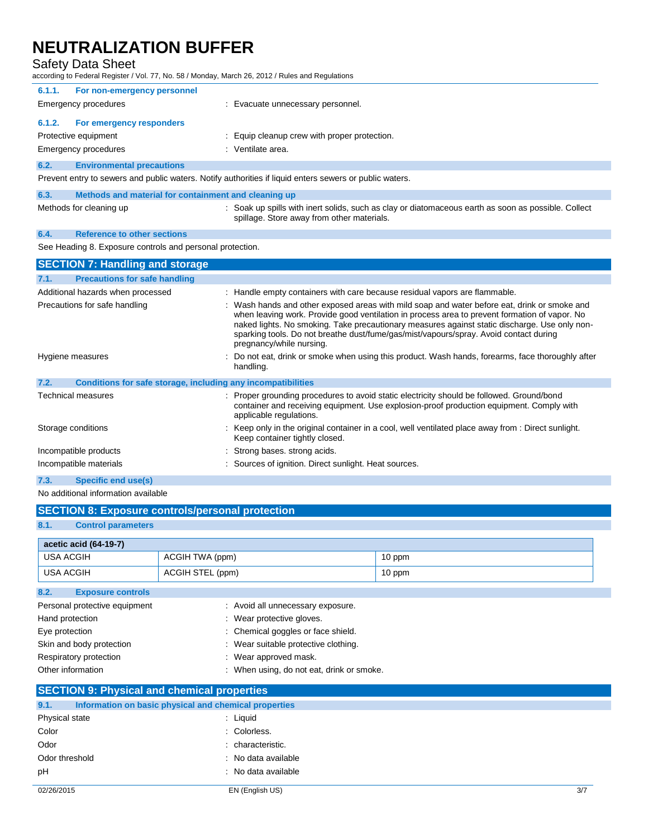| <b>Safety Data Sheet</b><br>according to Federal Register / Vol. 77, No. 58 / Monday, March 26, 2012 / Rules and Regulations |                                                                                                                                                                                                                                                                                                                                                                                                                     |  |  |
|------------------------------------------------------------------------------------------------------------------------------|---------------------------------------------------------------------------------------------------------------------------------------------------------------------------------------------------------------------------------------------------------------------------------------------------------------------------------------------------------------------------------------------------------------------|--|--|
| 6.1.1.<br>For non-emergency personnel                                                                                        |                                                                                                                                                                                                                                                                                                                                                                                                                     |  |  |
| <b>Emergency procedures</b>                                                                                                  | : Evacuate unnecessary personnel.                                                                                                                                                                                                                                                                                                                                                                                   |  |  |
| 6.1.2.<br>For emergency responders                                                                                           |                                                                                                                                                                                                                                                                                                                                                                                                                     |  |  |
| Protective equipment                                                                                                         | : Equip cleanup crew with proper protection.                                                                                                                                                                                                                                                                                                                                                                        |  |  |
| Emergency procedures                                                                                                         | : Ventilate area.                                                                                                                                                                                                                                                                                                                                                                                                   |  |  |
| 6.2.<br><b>Environmental precautions</b>                                                                                     |                                                                                                                                                                                                                                                                                                                                                                                                                     |  |  |
|                                                                                                                              | Prevent entry to sewers and public waters. Notify authorities if liquid enters sewers or public waters.                                                                                                                                                                                                                                                                                                             |  |  |
| 6.3.<br>Methods and material for containment and cleaning up                                                                 |                                                                                                                                                                                                                                                                                                                                                                                                                     |  |  |
| Methods for cleaning up                                                                                                      | : Soak up spills with inert solids, such as clay or diatomaceous earth as soon as possible. Collect<br>spillage. Store away from other materials.                                                                                                                                                                                                                                                                   |  |  |
| <b>Reference to other sections</b><br>6.4.                                                                                   |                                                                                                                                                                                                                                                                                                                                                                                                                     |  |  |
| See Heading 8. Exposure controls and personal protection.                                                                    |                                                                                                                                                                                                                                                                                                                                                                                                                     |  |  |
| <b>SECTION 7: Handling and storage</b>                                                                                       |                                                                                                                                                                                                                                                                                                                                                                                                                     |  |  |
| <b>Precautions for safe handling</b><br>7.1.                                                                                 |                                                                                                                                                                                                                                                                                                                                                                                                                     |  |  |
| Additional hazards when processed                                                                                            | : Handle empty containers with care because residual vapors are flammable.                                                                                                                                                                                                                                                                                                                                          |  |  |
|                                                                                                                              |                                                                                                                                                                                                                                                                                                                                                                                                                     |  |  |
| Precautions for safe handling                                                                                                | : Wash hands and other exposed areas with mild soap and water before eat, drink or smoke and<br>when leaving work. Provide good ventilation in process area to prevent formation of vapor. No<br>naked lights. No smoking. Take precautionary measures against static discharge. Use only non-<br>sparking tools. Do not breathe dust/fume/gas/mist/vapours/spray. Avoid contact during<br>pregnancy/while nursing. |  |  |
| Hygiene measures                                                                                                             | Do not eat, drink or smoke when using this product. Wash hands, forearms, face thoroughly after<br>handling.                                                                                                                                                                                                                                                                                                        |  |  |
| 7.2.<br>Conditions for safe storage, including any incompatibilities                                                         |                                                                                                                                                                                                                                                                                                                                                                                                                     |  |  |
| <b>Technical measures</b>                                                                                                    | : Proper grounding procedures to avoid static electricity should be followed. Ground/bond<br>container and receiving equipment. Use explosion-proof production equipment. Comply with<br>applicable regulations.                                                                                                                                                                                                    |  |  |
| Storage conditions                                                                                                           | : Keep only in the original container in a cool, well ventilated place away from : Direct sunlight.<br>Keep container tightly closed.                                                                                                                                                                                                                                                                               |  |  |

- Incompatible materials : Sources of ignition. Direct sunlight. Heat sources.
- **7.3. Specific end use(s)**

No additional information available

| <b>SECTION 8: Exposure controls/personal protection</b> |                 |        |  |
|---------------------------------------------------------|-----------------|--------|--|
| 8.1.<br><b>Control parameters</b>                       |                 |        |  |
| acetic acid (64-19-7)                                   |                 |        |  |
| USA ACGIH                                               | ACGIH TWA (ppm) | 10 ppm |  |
| USA ACGIH<br>ACGIH STEL (ppm)<br>10 ppm                 |                 |        |  |
| 8.2.<br><b>Exposure controls</b>                        |                 |        |  |

| Personal protective equipment | : Avoid all unnecessary exposure.         |
|-------------------------------|-------------------------------------------|
| Hand protection               | : Wear protective gloves.                 |
| Eye protection                | : Chemical goggles or face shield.        |
| Skin and body protection      | : Wear suitable protective clothing.      |
| Respiratory protection        | : Wear approved mask.                     |
| Other information             | : When using, do not eat, drink or smoke. |

# **SECTION 9: Physical and chemical properties**

| 9.1.           | Information on basic physical and chemical properties |                     |
|----------------|-------------------------------------------------------|---------------------|
| Physical state |                                                       | : Liquid            |
| Color          |                                                       | : Colorless.        |
| Odor           |                                                       | : characteristic.   |
| Odor threshold |                                                       | : No data available |
| pH             |                                                       | : No data available |
|                |                                                       |                     |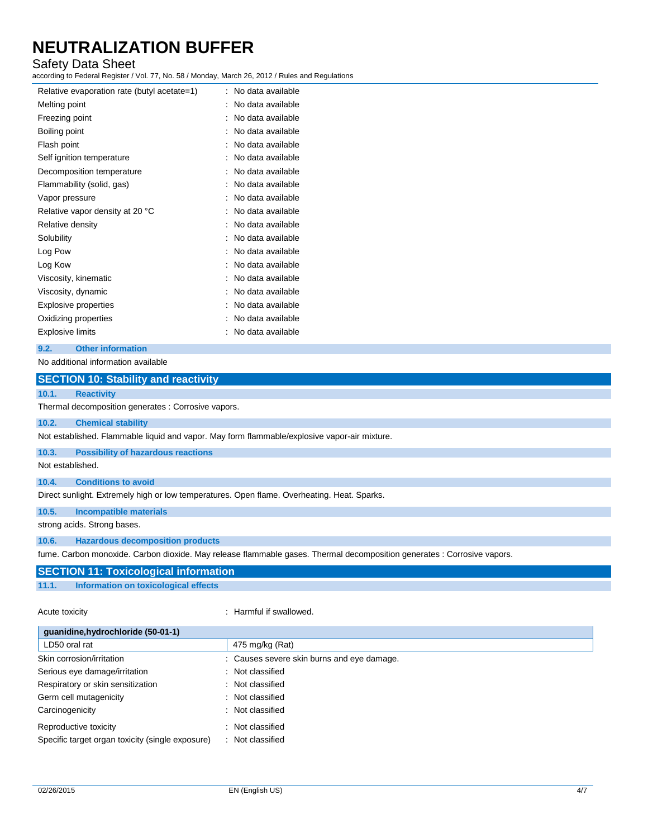# Safety Data Sheet

according to Federal Register / Vol. 77, No. 58 / Monday, March 26, 2012 / Rules and Regulations

| Relative evaporation rate (butyl acetate=1) | No data available<br>٠ |
|---------------------------------------------|------------------------|
| Melting point                               | No data available      |
| Freezing point                              | No data available      |
| Boiling point                               | No data available      |
| Flash point                                 | No data available      |
| Self ignition temperature                   | No data available      |
| Decomposition temperature                   | No data available      |
| Flammability (solid, gas)                   | No data available      |
| Vapor pressure                              | No data available      |
| Relative vapor density at 20 °C             | No data available      |
| Relative density                            | No data available      |
| Solubility                                  | No data available      |
| Log Pow                                     | No data available      |
| Log Kow                                     | No data available      |
| Viscosity, kinematic                        | No data available      |
| Viscosity, dynamic                          | No data available      |
| Explosive properties                        | No data available      |
| Oxidizing properties                        | No data available      |
| Explosive limits                            | No data available      |

#### **9.2. Other information**

No additional information available

|                  | <b>SECTION 10: Stability and reactivity</b>                                                                             |
|------------------|-------------------------------------------------------------------------------------------------------------------------|
| 10.1.            | <b>Reactivity</b>                                                                                                       |
|                  | Thermal decomposition generates : Corrosive vapors.                                                                     |
| 10.2.            | <b>Chemical stability</b>                                                                                               |
|                  | Not established. Flammable liquid and vapor. May form flammable/explosive vapor-air mixture.                            |
| 10.3.            | <b>Possibility of hazardous reactions</b>                                                                               |
| Not established. |                                                                                                                         |
| 10.4.            | <b>Conditions to avoid</b>                                                                                              |
|                  | Direct sunlight. Extremely high or low temperatures. Open flame. Overheating. Heat. Sparks.                             |
| 10.5.            | <b>Incompatible materials</b>                                                                                           |
|                  | strong acids. Strong bases.                                                                                             |
| 10.6.            | <b>Hazardous decomposition products</b>                                                                                 |
|                  | fume. Carbon monoxide. Carbon dioxide. May release flammable gases. Thermal decomposition generates : Corrosive vapors. |
|                  | <b>SECTION 11: Toxicological information</b>                                                                            |
| 11.1.            | Information on toxicological effects                                                                                    |
|                  |                                                                                                                         |

#### Acute toxicity **in the case of the CALIC CONTEX CONTEX CONTEX CONTEX CONTEX CONTEX CONTEX CONTEX CONTEX CONTEX CONTEX CONTEX CONTEX CONTEX CONTEX CONTEX CONTEX CONTEX CONTEX CONTEX CONTEX CONTEX CONTEX CONTEX CONTEX CONTEX**

| guanidine, hydrochloride (50-01-1)               |                                            |  |
|--------------------------------------------------|--------------------------------------------|--|
| LD50 oral rat                                    | 475 mg/kg (Rat)                            |  |
| Skin corrosion/irritation                        | : Causes severe skin burns and eye damage. |  |
| Serious eye damage/irritation                    | : Not classified                           |  |
| Respiratory or skin sensitization                | : Not classified                           |  |
| Germ cell mutagenicity                           | : Not classified                           |  |
| Carcinogenicity                                  | : Not classified                           |  |
| Reproductive toxicity                            | : Not classified                           |  |
| Specific target organ toxicity (single exposure) | : Not classified                           |  |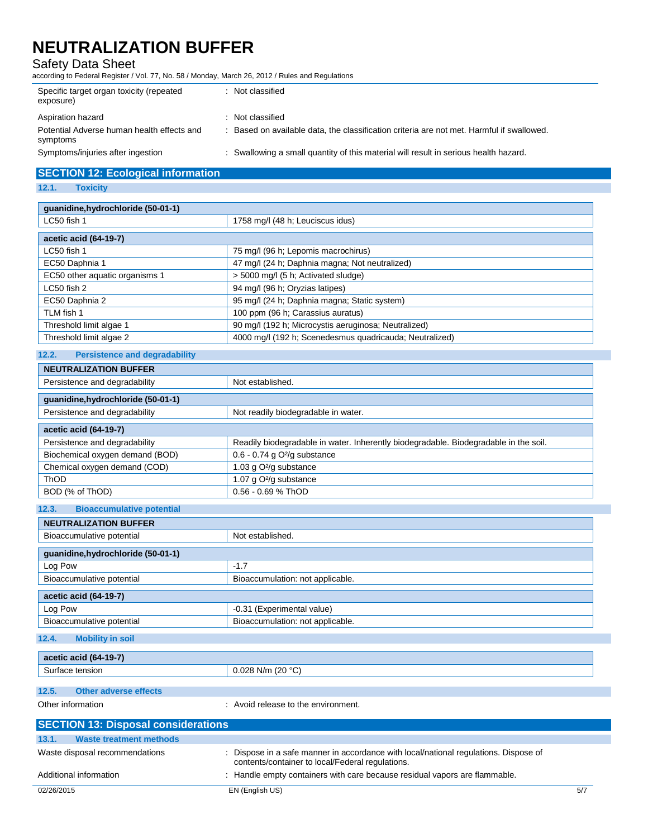Safety Data Sheet

according to Federal Register / Vol. 77, No. 58 / Monday, March 26, 2012 / Rules and Regulations

| Specific target organ toxicity (repeated<br>exposure)  | : Not classified                                                                          |
|--------------------------------------------------------|-------------------------------------------------------------------------------------------|
| Aspiration hazard                                      | Not classified                                                                            |
| Potential Adverse human health effects and<br>symptoms | : Based on available data, the classification criteria are not met. Harmful if swallowed. |
| Symptoms/injuries after ingestion                      | : Swallowing a small quantity of this material will result in serious health hazard.      |

### **SECTION 12: Ecological information**

**12.1. Toxicity**

| guanidine, hydrochloride (50-01-1) |                                                         |  |
|------------------------------------|---------------------------------------------------------|--|
| LC50 fish 1                        | 1758 mg/l (48 h; Leuciscus idus)                        |  |
| acetic acid (64-19-7)              |                                                         |  |
| LC50 fish 1                        | 75 mg/l (96 h; Lepomis macrochirus)                     |  |
| EC50 Daphnia 1                     | 47 mg/l (24 h; Daphnia magna; Not neutralized)          |  |
| EC50 other aquatic organisms 1     | > 5000 mg/l (5 h; Activated sludge)                     |  |
| LC50 fish 2                        | 94 mg/l (96 h; Oryzias latipes)                         |  |
| EC50 Daphnia 2                     | 95 mg/l (24 h; Daphnia magna; Static system)            |  |
| TLM fish 1                         | 100 ppm (96 h; Carassius auratus)                       |  |
| Threshold limit algae 1            | 90 mg/l (192 h; Microcystis aeruginosa; Neutralized)    |  |
| Threshold limit algae 2            | 4000 mg/l (192 h; Scenedesmus quadricauda; Neutralized) |  |

# **12.2. Persistence and degradability NEUTRALIZATION BUFFER** Persistence and degradability Not established. **guanidine,hydrochloride (50-01-1)** Persistence and degradability **Not readily biodegradable in water. acetic acid (64-19-7)** Persistence and degradability **Readily biodegradable in water.** Inherently biodegradable. Biodegradable in the soil. Biochemical oxygen demand (BOD) 0.6 - 0.74 g O<sup>2</sup>/g substance Chemical oxygen demand (COD) 1.03 g O<sup>2</sup>/g substance ThOD 1.07 g O<sup>2</sup>/g substance BOD (% of ThOD) 0.56 - 0.69 % ThOD

# **12.3. Bioaccumulative potential NEUTRALIZATION BUFFER** Bioaccumulative potential Not established. **guanidine,hydrochloride (50-01-1)** Log Pow 2.1.7 Bioaccumulative potential Bioaccumulation: not applicable. **acetic acid (64-19-7)** Log Pow  $\vert$  -0.31 (Experimental value) Bioaccumulative potential Bioaccumulation: not applicable.

**12.4. Mobility in soil**

| acetic acid (64-19-7) |                     |
|-----------------------|---------------------|
| ∽<br>Surface tension  | $0.028$ N/m (20 °C` |

## **12.5. Other adverse effects**

Other information **COLOGY COLOGY COLOGY COLOGY COLOGY COLOGY COLOGY COLOGY COLOGY COLOGY COLOGY COLOGY COLOGY COLOGY COLOGY COLOGY COLOGY COLOGY COLOGY COLOGY COLOGY COLOGY COLOG** 

| <b>SECTION 13: Disposal considerations</b> |                                                                                                                                          |     |
|--------------------------------------------|------------------------------------------------------------------------------------------------------------------------------------------|-----|
| 13.1.<br><b>Waste treatment methods</b>    |                                                                                                                                          |     |
| Waste disposal recommendations             | : Dispose in a safe manner in accordance with local/national regulations. Dispose of<br>contents/container to local/Federal regulations. |     |
| Additional information                     | : Handle empty containers with care because residual vapors are flammable.                                                               |     |
| 02/26/2015                                 | EN (English US)                                                                                                                          | 5/7 |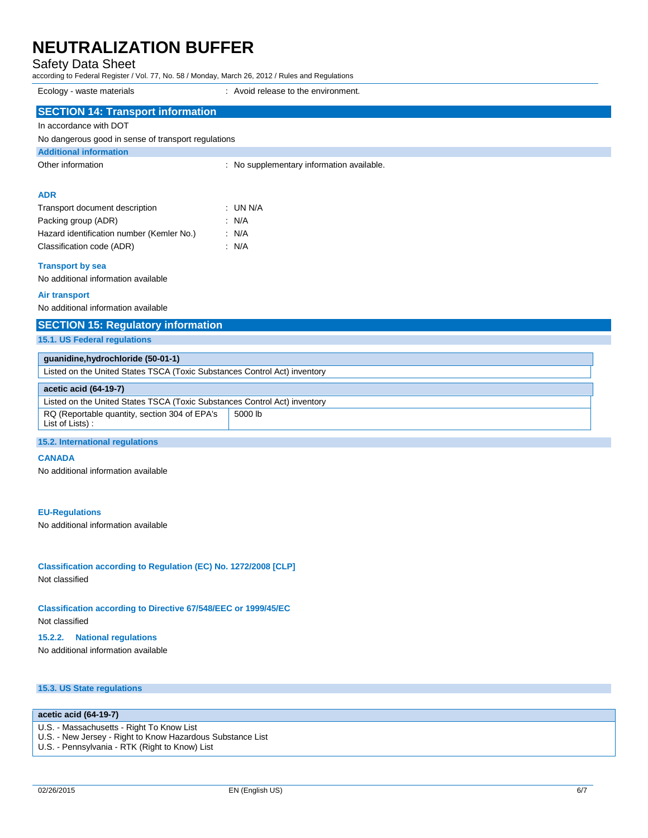## Safety Data Sheet

according to Federal Register / Vol. 77, No. 58 / Monday, March 26, 2012 / Rules and Regulations

| Ecology - waste materials | Avoid release to the environment. |
|---------------------------|-----------------------------------|
|                           |                                   |

| <b>SECTION 14: Transport information</b>                                  |                                           |  |
|---------------------------------------------------------------------------|-------------------------------------------|--|
| In accordance with DOT                                                    |                                           |  |
| No dangerous good in sense of transport regulations                       |                                           |  |
| <b>Additional information</b>                                             |                                           |  |
| Other information                                                         | : No supplementary information available. |  |
| <b>ADR</b>                                                                |                                           |  |
| Transport document description                                            | $:$ UN N/A                                |  |
| Packing group (ADR)                                                       | : N/A                                     |  |
| Hazard identification number (Kemler No.)                                 | : N/A                                     |  |
| Classification code (ADR)                                                 | $\therefore$ N/A                          |  |
| <b>Transport by sea</b>                                                   |                                           |  |
| No additional information available                                       |                                           |  |
| <b>Air transport</b>                                                      |                                           |  |
| No additional information available                                       |                                           |  |
| <b>SECTION 15: Regulatory information</b>                                 |                                           |  |
| 15.1. US Federal regulations                                              |                                           |  |
| quanidine, hydrochloride (50-01-1)                                        |                                           |  |
| Listed on the United States TSCA (Toxic Substances Control Act) inventory |                                           |  |
| acetic acid (64-19-7)                                                     |                                           |  |
| Listed on the United States TSCA (Toxic Substances Control Act) inventory |                                           |  |
| RQ (Reportable quantity, section 304 of EPA's<br>List of Lists):          | 5000 lb                                   |  |
| <b>15.2. International requlations</b>                                    |                                           |  |

#### **CANADA**

No additional information available

#### **EU-Regulations**

No additional information available

**Classification according to Regulation (EC) No. 1272/2008 [CLP]** Not classified

#### **Classification according to Directive 67/548/EEC or 1999/45/EC**

Not classified

#### **15.2.2. National regulations**

No additional information available

### **15.3. US State regulations**

### **acetic acid (64-19-7)**

- U.S. Massachusetts Right To Know List
- U.S. New Jersey Right to Know Hazardous Substance List
- U.S. Pennsylvania RTK (Right to Know) List